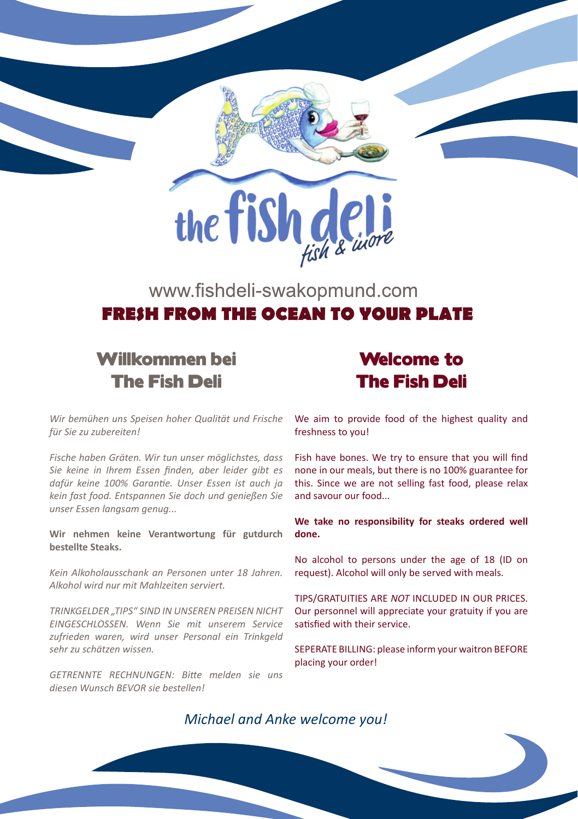

### www.fishdeli-swakopmund.com **FRESH FROM THE OCEAN TO VOUR DLATE**

### Willkommen bei The Fish Deli

### Welcome to The Fish Deli

*Wir bemühen uns Speisen hoher Qualität und Frische für Sie zu zubereiten!* 

*Fische haben Gräten. Wir tun unser möglichstes, dass Sie keine in Ihrem Essen finden, aber leider gibt es dafür keine 100% Garantie. Unser Essen ist auch ja kein fast food. Entspannen Sie doch und genießen Sie unser Essen langsam genug...*

**Wir nehmen keine Verantwortung für gutdurch bestellte Steaks.**

*Kein Alkoholausschank an Personen unter 18 Jahren. Alkohol wird nur mit Mahlzeiten serviert.*

*TRINKGELDER "TIPS" SIND IN UNSEREN PREISEN NICHT EINGESCHLOSSEN. Wenn Sie mit unserem Service zufrieden waren, wird unser Personal ein Trinkgeld sehr zu schätzen wissen.*

*GETRENNTE RECHNUNGEN: Bitte melden sie uns diesen Wunsch BEVOR sie bestellen!*

We aim to provide food of the highest quality and freshness to you!

Fish have bones. We try to ensure that you will find none in our meals, but there is no 100% guarantee for this. Since we are not selling fast food, please relax and savour our food...

**We take no responsibility for steaks ordered well done.**

No alcohol to persons under the age of 18 (ID on request). Alcohol will only be served with meals.

TIPS/GRATUITIES ARE *NOT* INCLUDED IN OUR PRICES. Our personnel will appreciate your gratuity if you are satisfied with their service.

SEPERATE BILLING: please inform your waitron BEFORE placing your order!

*Michael and Anke welcome you!*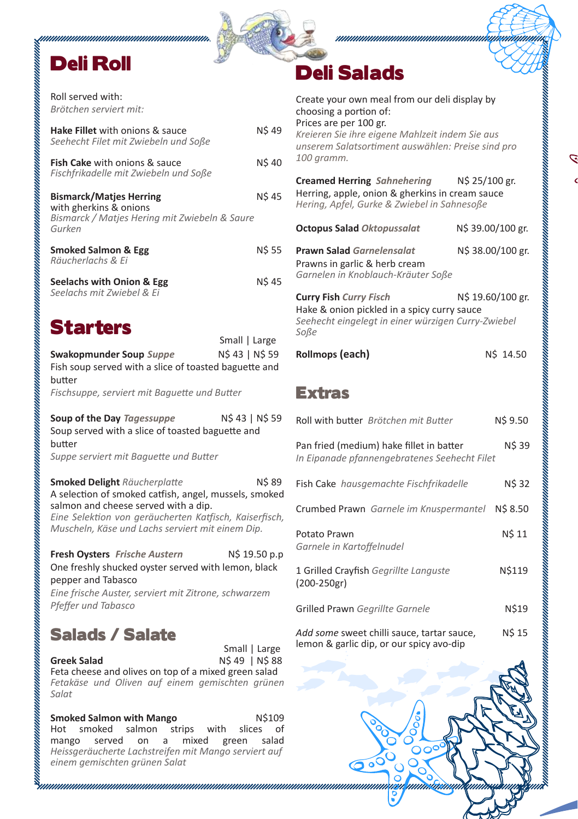# Deli Roll

Roll served with:*Brötchen serviert mit:* 

| <b>Hake Fillet</b> with onions & sauce<br>Seehecht Filet mit Zwiebeln und Soße                                      | <b>NS 49</b> |
|---------------------------------------------------------------------------------------------------------------------|--------------|
| <b>Fish Cake</b> with onions & sauce<br>Fischfrikadelle mit Zwiebeln und Soße                                       | <b>NS 40</b> |
| <b>Bismarck/Matjes Herring</b><br>with gherkins & onions<br>Bismarck / Matjes Hering mit Zwiebeln & Saure<br>Gurken | <b>NS 45</b> |
| <b>Smoked Salmon &amp; Egg</b><br>Räucherlachs & Ei                                                                 | <b>NS 55</b> |
| Seelachs with Onion & Egg<br>Seelachs mit Zwiebel & Ei                                                              | <b>NS 45</b> |
|                                                                                                                     |              |

## Starters

| Swakopmunder Soup Suppe                               | N\$ 43   N\$ 59 |
|-------------------------------------------------------|-----------------|
| Fish soup served with a slice of toasted baguette and |                 |
| butter                                                |                 |
| Fischsuppe, serviert mit Baquette und Butter          |                 |
|                                                       |                 |
|                                                       |                 |

Small | Large

**Soup of the Day** *Tagessuppe*  $N$ 43 | N$ 59$ Soup served with a slice of toasted baguette and butter

*Suppe serviert mit Baguette und Butter*

**Smoked Delight** *Räucherplatte* N\$ 89 A selection of smoked catfish, angel, mussels, smoked salmon and cheese served with a dip. *Eine Selektion von geräucherten Katfisch, Kaiserfisch, Muscheln, Käse und Lachs serviert mit einem Dip.*

**Fresh Oysters** *Frische Austern* N\$ 19.50 p.p One freshly shucked oyster served with lemon, black pepper and Tabasco *Eine frische Auster, serviert mit Zitrone, schwarzem Pfeffer und Tabasco* 

## Salads / Salate

**Greek Salad** N\$ 49 | N\$ 88 Feta cheese and olives on top of a mixed green salad *Fetakäse und Oliven auf einem gemischten grünen Salat* Small | Large

**Smoked Salmon with Mango N\$109**<br>Hot smoked salmon strips with slices of Hot smoked salmon strips with slices of<br>mango served on a mixed green salad mango served on a mixed *Heissgeräucherte Lachstreifen mit Mango serviert auf einem gemischten grünen Salat*

# Deli Salads

| Create your own meal from our deli display by<br>choosing a portion of:<br>Prices are per 100 gr.<br>Kreieren Sie ihre eigene Mahlzeit indem Sie aus<br>unserem Salatsortiment auswählen: Preise sind pro<br>100 gramm. |                   |
|-------------------------------------------------------------------------------------------------------------------------------------------------------------------------------------------------------------------------|-------------------|
| Creamed Herring Sahnehering<br>Herring, apple, onion & gherkins in cream sauce<br>Hering, Apfel, Gurke & Zwiebel in Sahnesoße                                                                                           | N\$ 25/100 gr.    |
| <b>Octopus Salad Oktopussalat</b>                                                                                                                                                                                       | N\$ 39.00/100 gr. |
| <b>Prawn Salad Garnelensalat</b><br>Prawns in garlic & herb cream<br>Garnelen in Knoblauch-Kräuter Soße                                                                                                                 | N\$ 38.00/100 gr. |
| <b>Curry Fish Curry Fisch</b><br>Hake & onion pickled in a spicy curry sauce<br>Seehecht eingelegt in einer würzigen Curry-Zwiebel<br>Soße                                                                              | N\$ 19.60/100 gr. |
| Rollmops (each)                                                                                                                                                                                                         | N\$ 14.50         |
| <b>Extras</b>                                                                                                                                                                                                           |                   |
| Roll with butter Brötchen mit Butter                                                                                                                                                                                    | N\$ 9.50          |
| Pan fried (medium) hake fillet in batter<br>In Eipanade pfannengebratenes Seehecht Filet                                                                                                                                | N\$ 39            |
| Fish Cake hausgemachte Fischfrikadelle                                                                                                                                                                                  | N\$ 32            |
| Crumbed Prawn Garnele im Knuspermantel                                                                                                                                                                                  | N\$ 8.50          |
| Potato Prawn<br>Garnele in Kartoffelnudel                                                                                                                                                                               | N\$ 11            |
| 1 Grilled Crayfish Gegrillte Languste<br>(200-250gr)                                                                                                                                                                    | N\$119            |
| Grilled Prawn Gegrillte Garnele                                                                                                                                                                                         | N\$19             |
|                                                                                                                                                                                                                         |                   |

mmm.

Add some sweet chilli sauce, tartar sauce. NS 15 lemon & garlic dip, or our spicy avo-dip

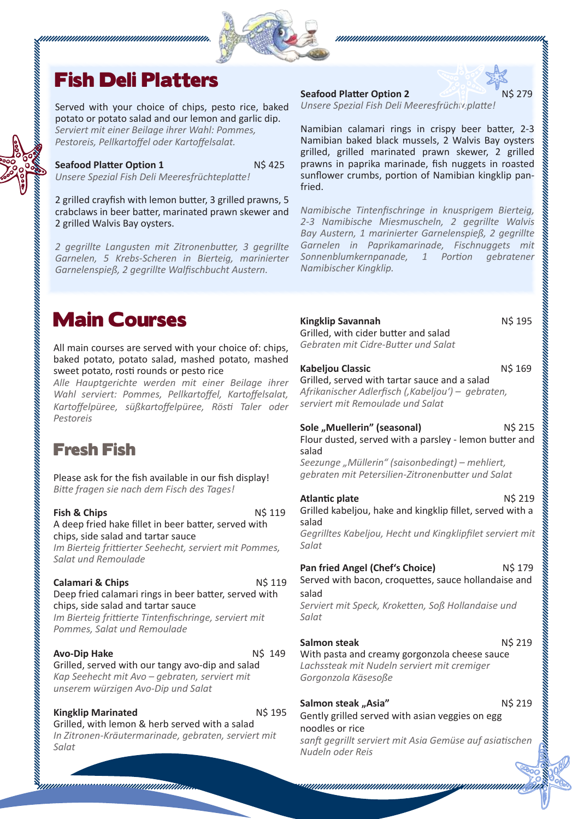

### Fish Deli Platters

Served with your choice of chips, pesto rice, baked potato or potato salad and our lemon and garlic dip. *Serviert mit einer Beilage ihrer Wahl: Pommes, Pestoreis, Pellkartoffel oder Kartoffelsalat.* 

**Seafood Platter Option 1** N\$ 425 *Unsere Spezial Fish Deli Meeresfrüchteplatte!*

2 grilled crayfish with lemon butter, 3 grilled prawns, 5 crabclaws in beer batter, marinated prawn skewer and 2 grilled Walvis Bay oysters.

*2 gegrillte Langusten mit Zitronenbutter, 3 gegrillte Garnelen, 5 Krebs-Scheren in Bierteig, marinierter Garnelenspieß, 2 gegrillte Walfischbucht Austern.*

#### **Seafood Platter Option 2** 2 279



*Unsere Spezial Fish Deli Meeresfrüchteplatte!*

Namibian calamari rings in crispy beer batter, 2-3 Namibian baked black mussels, 2 Walvis Bay oysters grilled, grilled marinated prawn skewer, 2 grilled prawns in paprika marinade, fish nuggets in roasted sunflower crumbs, portion of Namibian kingklip panfried.

*Namibische Tintenfischringe in knusprigem Bierteig, 2-3 Namibische Miesmuscheln, 2 gegrillte Walvis Bay Austern, 1 marinierter Garnelenspieß, 2 gegrillte Garnelen in Paprikamarinade, Fischnuggets mit Sonnenblumkernpanade, 1 Portion gebratener Namibischer Kingklip.*

### Main Courses

All main courses are served with your choice of: chips, baked potato, potato salad, mashed potato, mashed sweet potato, rosti rounds or pesto rice

*Alle Hauptgerichte werden mit einer Beilage ihrer Wahl serviert: Pommes, Pellkartoffel, Kartoffelsalat, Kartoffelpüree, süßkartoffelpüree, Rösti Taler oder Pestoreis*

### Fresh Fish

Please ask for the fish available in our fish display! *Bitte fragen sie nach dem Fisch des Tages!*

**Fish & Chips** N\$ 119 A deep fried hake fillet in beer batter, served with chips, side salad and tartar sauce *Im Bierteig frittierter Seehecht, serviert mit Pommes, Salat und Remoulade*

#### **Calamari & Chips** N\$ 119

Deep fried calamari rings in beer batter, served with chips, side salad and tartar sauce *Im Bierteig frittierte Tintenfischringe, serviert mit* 

*Pommes, Salat und Remoulade*

**Avo-Dip Hake** N\$ 149

Grilled, served with our tangy avo-dip and salad *Kap Seehecht mit Avo – gebraten, serviert mit unserem würzigen Avo-Dip und Salat*

**Kingklip Marinated NS 195** 

Grilled, with lemon & herb served with a salad *In Zitronen-Kräutermarinade, gebraten, serviert mit Salat*

**Kingklip Savannah** N\$ 195 Grilled, with cider butter and salad *Gebraten mit Cidre-Butter und Salat*

**Kabeljou Classic N\$ 169** 

Grilled, served with tartar sauce and a salad *Afrikanischer Adlerfisch ('Kabeljou') – gebraten, serviert mit Remoulade und Salat*

**Sole "Muellerin" (seasonal)** N\$ 215 Flour dusted, served with a parsley - lemon butter and

salad *Seezunge "Müllerin" (saisonbedingt) – mehliert, gebraten mit Petersilien-Zitronenbutter und Salat*

**Atlantic plate** N\$ 219 Grilled kabeljou, hake and kingklip fillet, served with a salad *Gegrilltes Kabeljou, Hecht und Kingklipfilet serviert mit Salat* **Pan fried Angel (Chef's Choice)** N\$ 179 Served with bacon, croquettes, sauce hollandaise and salad *Serviert mit Speck, Kroketten, Soß Hollandaise und Salat* **Salmon steak** N\$ 219 With pasta and creamy gorgonzola cheese sauce *Lachssteak mit Nudeln serviert mit cremiger Gorgonzola Käsesoße* **Salmon steak "Asia" N\$ 219** Gently grilled served with asian veggies on egg noodles or rice

*sanft gegrillt serviert mit Asia Gemüse auf asiatischen Nudeln oder Reis*

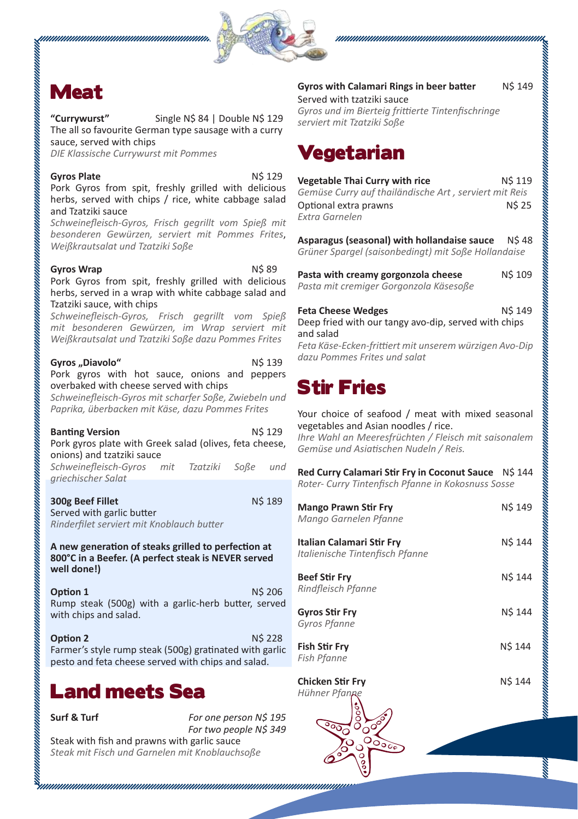



## Meat

**"Currywurst"** Single N\$ 84 | Double N\$ 129 The all so favourite German type sausage with a curry sauce, served with chips

*DIE Klassische Currywurst mit Pommes* 

#### Gyros Plate N\$ 129 Pork Gyros from spit, freshly grilled with delicious herbs, served with chips / rice, white cabbage salad and Tzatziki sauce

*Schweinefleisch-Gyros, Frisch gegrillt vom Spieß mit besonderen Gewürzen, serviert mit Pommes Frites*, *Weißkrautsalat und Tzatziki Soße*

#### **Gyros Wrap** N\$ 89

Pork Gyros from spit, freshly grilled with delicious herbs, served in a wrap with white cabbage salad and Tzatziki sauce, with chips

*Schweinefleisch-Gyros, Frisch gegrillt vom Spieß mit besonderen Gewürzen, im Wrap serviert mit Weißkrautsalat und Tzatziki Soße dazu Pommes Frites*

Gyros ..Diavolo<sup>"</sup> N\$ 139 Pork gyros with hot sauce, onions and peppers overbaked with cheese served with chips

*Schweinefleisch-Gyros mit scharfer Soße, Zwiebeln und Paprika, überbacken mit Käse, dazu Pommes Frites*

| <b>Banting Version</b><br>Pork gyros plate with Greek salad (olives, feta cheese,           |  | <b>NS 129</b> |
|---------------------------------------------------------------------------------------------|--|---------------|
| onions) and tzatziki sauce<br>Schweinefleisch-Gyros mit Tzatziki Soße<br>griechischer Salat |  | und           |
| 300g Beef Fillet                                                                            |  | <b>N\$189</b> |

Served with garlic butter *Rinderfilet serviert mit Knoblauch butter*

#### **A new generation of steaks grilled to perfection at 800°C in a Beefer. (A perfect steak is NEVER served well done!)**

**Option 1** N\$ 206 Rump steak (500g) with a garlic-herb butter, served with chips and salad.

**Option 2** N\$ 228 Farmer's style rump steak (500g) gratinated with garlic pesto and feta cheese served with chips and salad.

## Land meets Sea

**Surf & Turf** *For one person N\$ 195 For two people N\$ 349*

Steak with fish and prawns with garlic sauce *Steak mit Fisch und Garnelen mit Knoblauchsoße*

#### **Gyros with Calamari Rings in beer batter** N\$ 149

Served with tzatziki sauce *Gyros und im Bierteig frittierte Tintenfischringe serviert mit Tzatziki Soße*

## Vegetarian

| <b>Vegetable Thai Curry with rice</b>                 | <b>NS 119</b> |
|-------------------------------------------------------|---------------|
| Gemüse Curry auf thailändische Art, serviert mit Reis |               |
| Optional extra prawns                                 | <b>NS 25</b>  |
| Extra Garnelen                                        |               |
|                                                       |               |

**Asparagus (seasonal) with hollandaise sauce** N\$ 48 *Grüner Spargel (saisonbedingt) mit Soße Hollandaise*

| Pasta with creamy gorgonzola cheese    | <b>NS 109</b> |
|----------------------------------------|---------------|
| Pasta mit cremiger Gorgonzola Käsesoße |               |

| <b>Feta Cheese Wedges</b>                              | <b>NS 149</b> |
|--------------------------------------------------------|---------------|
| Deep fried with our tangy avo-dip, served with chips   |               |
| and salad                                              |               |
| Feta Käse-Frken-frittiert mit unserem würzigen Avo-Din |               |

*Feta Käse-Ecken-frittiert mit unserem würzigen Avo-Dip dazu Pommes Frites und salat*

# Stir Fries

Your choice of seafood / meat with mixed seasonal vegetables and Asian noodles / rice.

*Ihre Wahl an Meeresfrüchten / Fleisch mit saisonalem Gemüse und Asiatischen Nudeln / Reis.*

**Red Curry Calamari Stir Fry in Coconut Sauce** N\$ 144 *Roter- Curry Tintenfisch Pfanne in Kokosnuss Sosse*

| <b>Mango Prawn Stir Fry</b><br>Mango Garnelen Pfanne         | <b>NS 149</b> |
|--------------------------------------------------------------|---------------|
| Italian Calamari Stir Fry<br>Italienische Tintenfisch Pfanne | <b>NS 144</b> |
| <b>Beef Stir Fry</b><br>Rindfleisch Pfanne                   | N\$ 144       |
| <b>Gyros Stir Fry</b><br>Gyros Pfanne                        | <b>NS 144</b> |
| <b>Fish Stir Fry</b><br>Fish Pfanne                          | N\$ 144       |
| <b>Chicken Stir Fry</b><br>Hühner Pfanpe                     | N\$ 144       |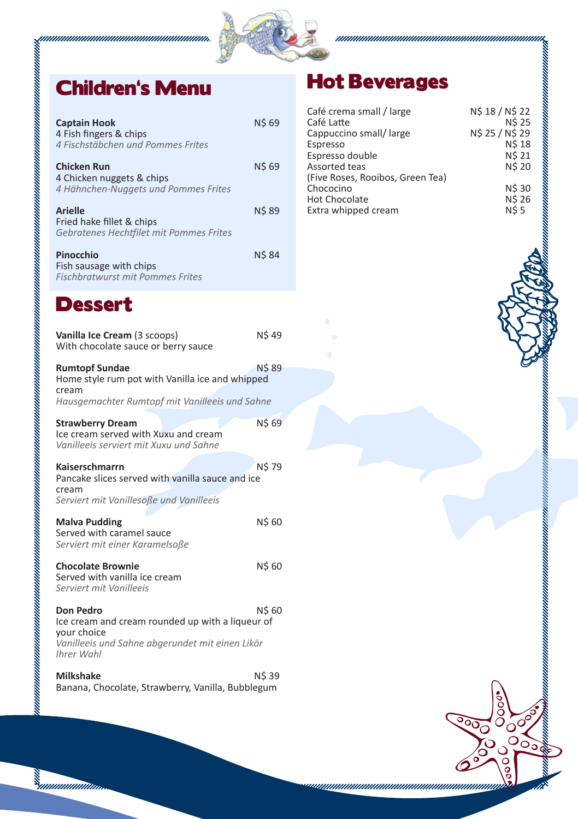

| <b>Captain Hook</b><br>4 Fish fingers & chips<br>4 Fischstäbchen und Pommes Frites                                                                   | N\$ 69       |
|------------------------------------------------------------------------------------------------------------------------------------------------------|--------------|
| <b>Chicken Run</b><br>4 Chicken nuggets & chips<br>4 Hähnchen-Nuggets und Pommes Frites                                                              | <b>NS 69</b> |
| <b>Arielle</b><br>Fried hake fillet & chips<br>Gebratenes Hechtfilet mit Pommes Frites                                                               | <b>NS 89</b> |
| Pinocchio<br>Fish sausage with chips<br><b>Fischbratwurst mit Pommes Frites</b>                                                                      | <b>N\$84</b> |
| Dessert                                                                                                                                              |              |
| Vanilla Ice Cream (3 scoops)<br>With chocolate sauce or berry sauce                                                                                  | N\$49        |
| <b>Rumtopf Sundae</b><br>Home style rum pot with Vanilla ice and whipped<br>cream<br>Hausgemachter Rumtopf mit Vanilleeis und Sahne                  | N\$ 89       |
| <b>Strawberry Dream</b><br>Ice cream served with Xuxu and cream<br>Vanilleeis serviert mit Xuxu und Sahne                                            | <b>N\$69</b> |
| Kaiserschmarrn<br>Pancake slices served with vanilla sauce and ice<br>cream<br>Serviert mit Vanillesoße und Vanilleeis                               | N\$ 79       |
| <b>Malva Pudding</b><br>Served with caramel sauce<br>Serviert mit einer Karamelsoße                                                                  | N\$ 60       |
| <b>Chocolate Brownie</b><br>Served with vanilla ice cream<br>Serviert mit Vanilleeis                                                                 | N\$60        |
| Don Pedro<br>Ice cream and cream rounded up with a liqueur of<br>your choice<br>Vanilleeis und Sahne abgerundet mit einen Likör<br><b>Ihrer Wahl</b> | N\$ 60       |
| <b>Milkshake</b><br>Banana, Chocolate, Strawberry, Vanilla, Bubblegum                                                                                | N\$ 39       |

# Hot Beverages

| Café crema small / large         | N\$ 18 / N\$ 22 |
|----------------------------------|-----------------|
| Café Latte                       | <b>N\$25</b>    |
| Cappuccino small/large           | N\$ 25 / N\$ 29 |
| Espresso                         | <b>NS 18</b>    |
| Espresso double                  | <b>NS 21</b>    |
| Assorted teas                    | <b>N\$20</b>    |
| (Five Roses, Rooibos, Green Tea) |                 |
| Chococino                        | <b>NS 30</b>    |
| <b>Hot Chocolate</b>             | <b>N\$26</b>    |
| Extra whipped cream              | <b>NS5</b>      |





्ञु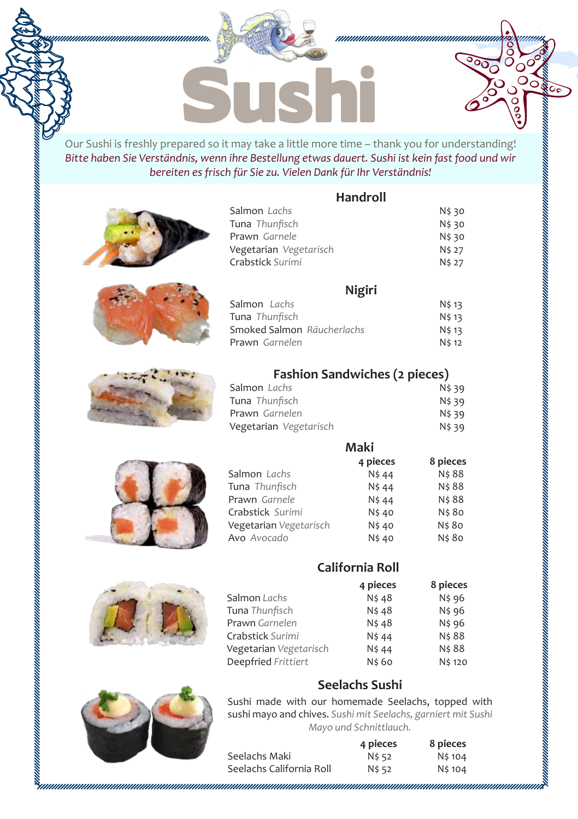

*Bitte haben Sie Verständnis, wenn ihre Bestellung etwas dauert. Sushi ist kein fast food und wir bereiten es frisch für Sie zu. Vielen Dank für Ihr Verständnis!*

**Handroll** 

 $\sqrt{2}$ Оē

|                                                               | <b>nanu</b> i vii |                  |
|---------------------------------------------------------------|-------------------|------------------|
| Salmon Lachs<br>Tuna Thunfisch                                |                   | N\$ 30<br>N\$ 30 |
| Prawn Garnele                                                 |                   | N\$ 30           |
| Vegetarian Vegetarisch                                        |                   | N\$ 27           |
| Crabstick Surimi                                              |                   | N\$ 27           |
|                                                               | Nigiri            |                  |
| Salmon Lachs                                                  |                   | N\$ 13           |
| Tuna Thunfisch                                                |                   | N\$ 13           |
| Smoked Salmon Räucherlachs                                    |                   | N\$ 13           |
| Prawn Garnelen                                                |                   | N\$ 12           |
| <b>Fashion Sandwiches (2 pieces)</b>                          |                   |                  |
| Salmon Lachs                                                  |                   | N\$ 39           |
| Tuna Thunfisch                                                |                   | N\$ 39           |
| Prawn Garnelen                                                |                   | N\$ 39           |
| Vegetarian Vegetarisch                                        |                   | N\$ 39           |
|                                                               | Maki              |                  |
|                                                               | 4 pieces          | 8 pieces         |
| Salmon Lachs                                                  | N\$44             | N\$ 88           |
| Tuna Thunfisch                                                | N\$ 44            | N\$ 88           |
| Prawn Garnele                                                 | N\$ 44            | N\$ 88           |
| Crabstick Surimi                                              | N\$ 40            | N\$ 80           |
| Vegetarian Vegetarisch                                        | N\$40             | N\$ 80           |
| Avo Avocado                                                   | N\$40             | N\$ 80           |
|                                                               | California Roll   |                  |
|                                                               | 4 pieces          | 8 pieces         |
| Salmon Lachs                                                  | N\$48             | N\$ 96           |
| Tuna Thunfisch                                                | N\$ 48            | N\$ 96           |
| Prawn Garnelen                                                | N\$48             | N\$ 96           |
| Crabstick Surimi                                              | N\$ 44            | N\$ 88           |
| Vegetarian Vegetarisch                                        | N\$ 44            | N\$ 88           |
| Deepfried Frittiert                                           | N\$ 60            | N\$ 120          |
|                                                               | Seelachs Sushi    |                  |
| Sushi made with our homemade Seelachs, topped with            |                   |                  |
| sushi mayo and chives. Sushi mit Seelachs, garniert mit Sushi |                   |                  |



|                          | 4 pieces | 8 pieces |
|--------------------------|----------|----------|
| Seelachs Maki            | N\$ 52   | N\$ 104  |
| Seelachs California Roll | N\$ 52   | N\$ 104  |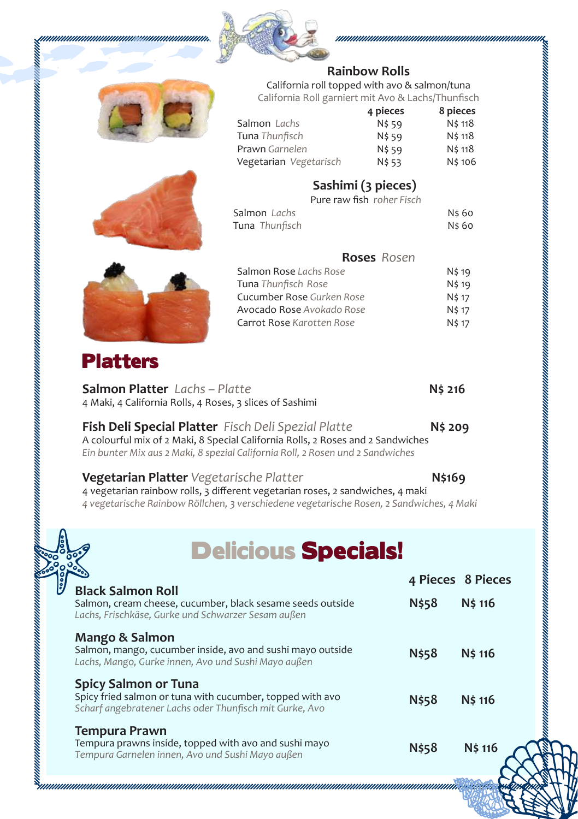



### **Rainbow Rolls**

California roll topped with avo & salmon/tuna California Roll garniert mit Avo & Lachs/Thunfisch

|                        | 4 pieces | 8 pieces |
|------------------------|----------|----------|
| Salmon Lachs           | N\$ 59   | N\$ 118  |
| Tuna Thunfisch         | N\$ 59   | N\$ 118  |
| Prawn Garnelen         | N\$ 59   | N\$ 118  |
| Vegetarian Vegetarisch | N\$ 53   | N\$ 106  |

### **Sashimi (3 pieces)**

Pure raw fish *roher Fisch*

| Salmon Lachs   | N\$ 60 |
|----------------|--------|
| Tuna Thunfisch | N\$ 60 |



| N\$ 19       |
|--------------|
| N\$ 19       |
| N\$ 17       |
| N\$ 17       |
| <b>N\$17</b> |
|              |

### Platters

| <b>Salmon Platter</b> Lachs - Platte                       | N\$ 216 |
|------------------------------------------------------------|---------|
| 4 Maki, 4 California Rolls, 4 Roses, 3 slices of Sashimi   |         |
| <b>Fich Dali Spacial Platter</b> Fisch Deli Spezial Platte | oc >N   |

**Fish Deli Special Platter** *Fisch Deli Spezial Platte* **N\$ 209** A colourful mix of 2 Maki, 8 Special California Rolls, 2 Roses and 2 Sandwiches *Ein bunter Mix aus 2 Maki, 8 spezial California Roll, 2 Rosen und 2 Sandwiches*

| <b>Vegetarian Platter</b> Vegetarische Platter                                           | N\$169 |
|------------------------------------------------------------------------------------------|--------|
| 4 vegetarian rainbow rolls, 3 different vegetarian roses, 2 sandwiches, 4 maki           |        |
| 4 vegetarische Rainbow Röllchen, 3 verschiedene vegetarische Rosen, 2 Sandwiches, 4 Maki |        |

# Delicious Specials!

| J |                                                                                                                                              |              | 4 Pieces 8 Pieces |
|---|----------------------------------------------------------------------------------------------------------------------------------------------|--------------|-------------------|
|   | <b>Black Salmon Roll</b><br>Salmon, cream cheese, cucumber, black sesame seeds outside<br>Lachs, Frischkäse, Gurke und Schwarzer Sesam außen | N\$58        | N\$ 116           |
|   | Mango & Salmon<br>Salmon, mango, cucumber inside, avo and sushi mayo outside<br>Lachs, Mango, Gurke innen, Avo und Sushi Mayo außen          | N\$58        | N\$ 116           |
|   | Spicy Salmon or Tuna<br>Spicy fried salmon or tuna with cucumber, topped with avo<br>Scharf angebratener Lachs oder Thunfisch mit Gurke, Avo | N\$58        | N\$ 116           |
|   | Tempura Prawn<br>Tempura prawns inside, topped with avo and sushi mayo<br>Tempura Garnelen innen, Avo und Sushi Mayo außen                   | <b>N\$58</b> | N\$ 116           |